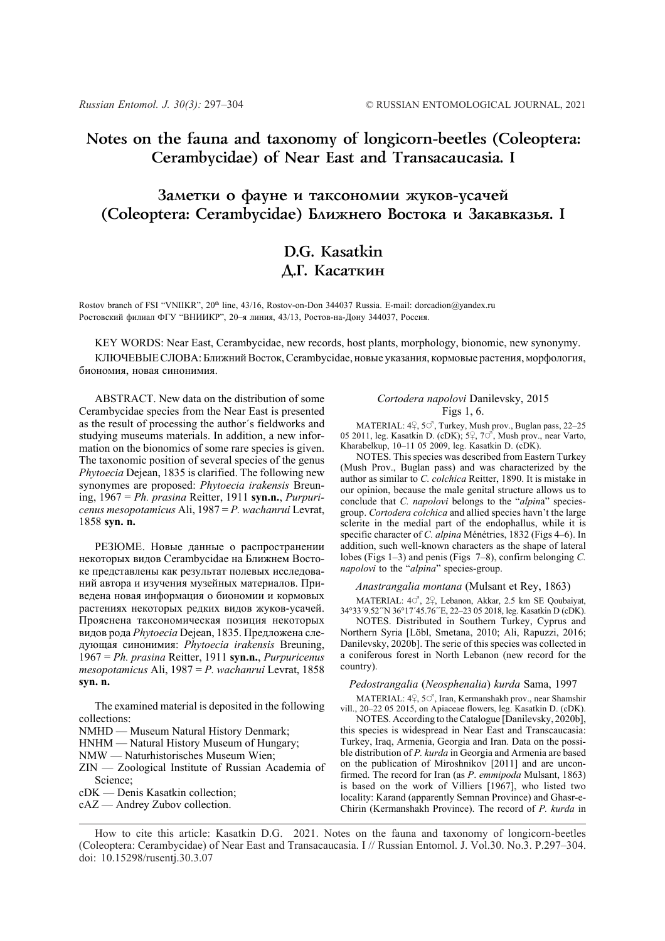# **Notes on the fauna and taxonomy of longicorn-beetles (Coleoptera: Cerambycidae) of Near East and Transacaucasia. I**

# Заметки о фауне и таксономии жуков-усачей (Coleoptera: Cerambycidae) Ближнего Востока и Закавказья. I

# **D.G. Kasatkin Д.Г.** Касаткин

Rostov branch of FSI "VNIIKR", 20<sup>th</sup> line, 43/16, Rostov-on-Don 344037 Russia. E-mail: dorcadion@yandex.ru Ростовский филиал ФГУ "ВНИИКР", 20–я линия, 43/13, Ростов-на-Дону 344037, Россия.

KEY WORDS: Near East, Cerambycidae, new records, host plants, morphology, bionomie, new synonymy.

КЛЮЧЕВЫЕ СЛОВА: Ближний Восток, Cerambycidae, новые указания, кормовые растения, морфология, биономия, новая синонимия.

ABSTRACT. New data on the distribution of some Cerambycidae species from the Near East is presented as the result of processing the author´s fieldworks and studying museums materials. In addition, a new information on the bionomics of some rare species is given. The taxonomic position of several species of the genus *Phytoecia* Dejean, 1835 is clarified. The following new synonymes are proposed: *Phytoecia irakensis* Breuning, 1967 = *Ph. prasina* Reitter, 1911 **syn.n.**, *Purpuricenus mesopotamicus* Ali, 1987 = *P. wachanrui* Levrat, 1858 **syn. n.**

РЕЗЮМЕ. Новые данные о распространении некоторых видов Cerambycidae на Ближнем Востоке представлены как результат полевых исследований автора и изучения музейных материалов. Приведена новая информация о биономии и кормовых растениях некоторых редких видов жуков-усачей. Прояснена таксономическая позиция некоторых видов рода *Phytoecia* Dejean, 1835. Предложена следующая синонимия: *Phytoecia irakensis* Breuning, 1967 = *Ph. prasina* Reitter, 1911 **syn.n.**, *Purpuricenus mesopotamicus* Ali, 1987 = *P. wachanrui* Levrat, 1858 **syn. n.**

The examined material is deposited in the following collections:

- NMHD Museum Natural History Denmark;
- HNHM Natural History Museum of Hungary;
- NMW Naturhistorisches Museum Wien;
- ZIN Zoological Institute of Russian Academia of Science;
- cDK Denis Kasatkin collection;
- cAZ Andrey Zubov collection.

## *Cortodera napolovi* Danilevsky, 2015 Figs 1, 6.

MATERIAL:  $4, 5^\circ$ , Turkey, Mush prov., Buglan pass, 22–25 05 2011, leg. Kasatkin D. (cDK);  $5\frac{9}{5}$ ,  $7\overrightarrow{O}$ , Mush prov., near Varto, Kharabelkup, 10–11 05 2009, leg. Kasatkin D. (cDK).

NOTES. This species was described from Eastern Turkey (Mush Prov., Buglan pass) and was characterized by the author as similar to *C. colchica* Reitter, 1890. It is mistake in our opinion, because the male genital structure allows us to conclude that *C. napolovi* belongs to the "*alpin*a" speciesgroup. *Cortodera colchica* and allied species havn't the large sclerite in the medial part of the endophallus, while it is specific character of *C. alpina* Ménétries, 1832 (Figs 4–6). In addition, such well-known characters as the shape of lateral lobes (Figs 1–3) and penis (Figs 7–8), confirm belonging *C. napolovi* to the "*alpina*" species-group.

*Anastrangalia montana* (Mulsant et Rey, 1863)

MATERIAL: 40<sup>7</sup>, 2<sup>0</sup>, Lebanon, Akkar, 2.5 km SE Qoubaiyat, 34°33´9.52´´N 36°17´45.76´´E, 22–23 05 2018, leg. Kasatkin D (cDK).

NOTES. Distributed in Southern Turkey, Cyprus and Northern Syria [Löbl, Smetana, 2010; Ali, Rapuzzi, 2016; Danilevsky, 2020b]. The serie of this species was collected in a coniferous forest in North Lebanon (new record for the country).

*Pedostrangalia* (*Neosphenalia*) *kurda* Sama, 1997

MATERIAL:  $4\frac{9}{5}$ ,  $5\frac{9}{5}$ , Iran, Kermanshakh prov., near Shamshir vill., 20–22 05 2015, on Apiaceae flowers, leg. Kasatkin D. (cDK).

NOTES. According to the Catalogue [Danilevsky, 2020b], this species is widespread in Near East and Transcaucasia: Turkey, Iraq, Armenia, Georgia and Iran. Data on the possible distribution of *P. kurda* in Georgia and Armenia are based on the publication of Miroshnikov [2011] and are unconfirmed. The record for Iran (as *P*. *emmipoda* Mulsant, 1863) is based on the work of Villiers [1967], who listed two locality: Karand (apparently Semnan Province) and Ghasr-e-Chirin (Kermanshakh Province). The record of *P. kurda* in

How to cite this article: Kasatkin D.G. 2021. Notes on the fauna and taxonomy of longicorn-beetles (Coleoptera: Cerambycidae) of Near East and Transacaucasia. I // Russian Entomol. J. Vol.30. No.3. P.297–304. doi: 10.15298/rusentj.30.3.07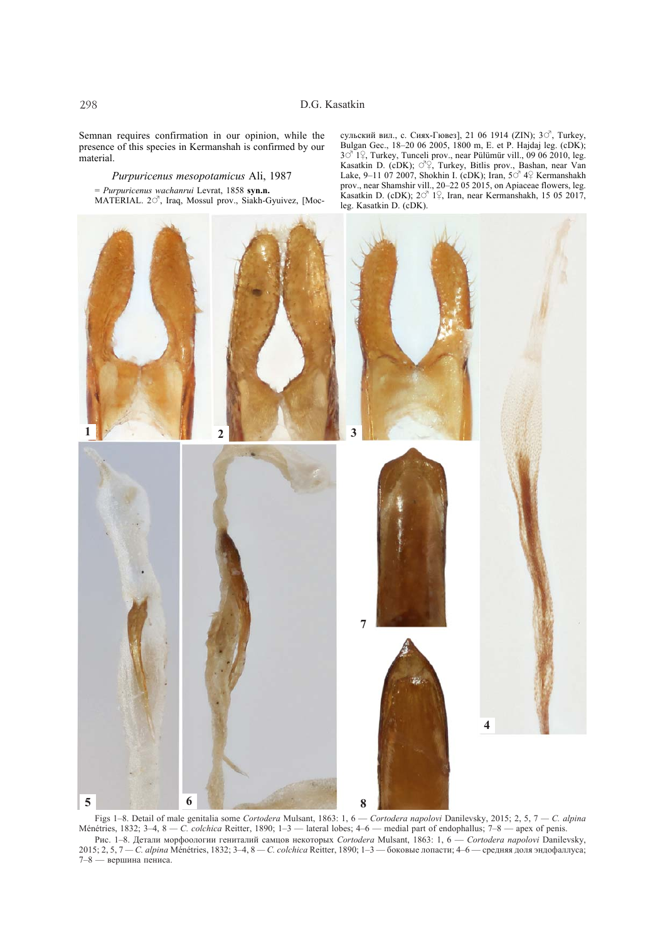Semnan requires confirmation in our opinion, while the presence of this species in Kermanshah is confirmed by our material.

*Purpuricenus mesopotamicus* Ali, 1987 = *Purpuricenus wachanrui* Levrat, 1858 **syn.n.** MATERIAL. 20<sup>7</sup>, Iraq, Mossul prov., Siakh-Gyuivez, [Moc-

сульский вил., с. Сиях-Гювез], 21 06 1914 (ZIN);  $3\circ^7$ , Turkey, Bulgan Gec., 18–20 06 2005, 1800 m, E. et P. Hajdaj leg. (cDK);  $3\degree$  1 $\degree$ , Turkey, Tunceli prov., near Pülümür vill., 09 06 2010, leg. Kasatkin D. (cDK);  $\circ$  ??, Turkey, Bitlis prov., Bashan, near Van Lake, 9-11 07 2007, Shokhin I. (cDK); Iran,  $50^7 4$  Kermanshakh prov., near Shamshir vill., 20–22 05 2015, on Apiaceae flowers, leg. Kasatkin D. (cDK);  $2\sigma^7$  1 $\frac{1}{2}$ , Iran, near Kermanshakh, 15 05 2017, leg. Kasatkin D. (cDK).



Figs 1–8. Detail of male genitalia some *Cortodera* Mulsant, 1863: 1, 6 — *Cortodera napolovi* Danilevsky, 2015; 2, 5, 7 *— C. alpina* Ménétries, 1832; 3–4, 8 — C. *colchica* Reitter, 1890; 1–3 — lateral lobes; 4–6 — medial part of endophallus; 7–8 — apex of penis. Рис. 1–8. Детали морфоологии гениталий самцов некоторых *Cortodera* Mulsant, 1863: 1, 6 — *Cortodera napolovi* Danilevsky, 2015; 2, 5, 7 *— C. alpina* Ménétries, 1832; 3–4, 8 *— C. colchica* Reitter, 1890; 1–3 — боковые лопасти; 4–6 — средняя доля эндофаллуса; 7–8 — вершина пениса.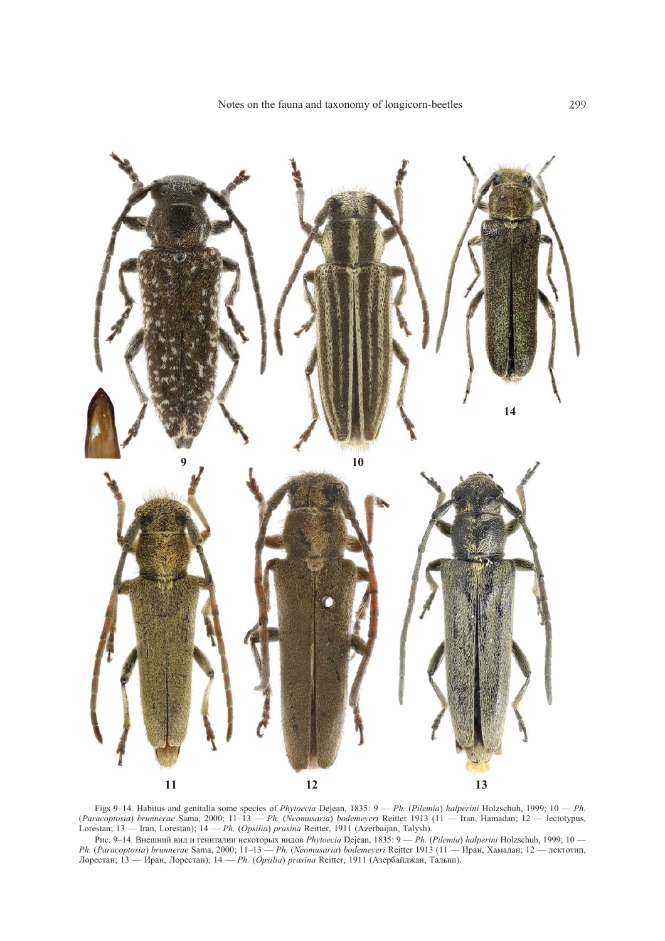

Figs 9–14. Habitus and genitalia some species of *Phytoecia* Dejean, 1835: 9 — *Ph.* (*Pilemia*) *halperini* Holzschuh, 1999; 10 — *Ph.* (*Paracoptosia*) *brunnerae* Sama, 2000; 11–13 — *Ph.* (*Neomusaria*) *bodemeyeri* Reitter 1913 (11 — Iran, Hamadan; 12 — lectotypus, Lorestan; 13 — Iran, Lorestan); 14 — *Ph.* (*Opsilia*) *prasina* Reitter, 1911 (Azerbaijan, Talysh).

Рис. 9–14. Внешний вид и гениталии некоторых видов *Phytoecia* Dejean, 1835: 9 — *Ph.* (*Pilemia*) *halperini* Holzschuh, 1999; 10 — *Ph.* (*Paracoptosia*) *brunnerae* Sama, 2000; 11–13 — *Ph.* (*Neomusaria*) *bodemeyeri* Reitter 1913 (11 — Иран, Хамадан; 12 — лектотип, Лорестан; 13 — Иран, Лорестан); 14 — *Ph.* (*Opsilia*) *prasina* Reitter, 1911 (Азербайджан, Талыш).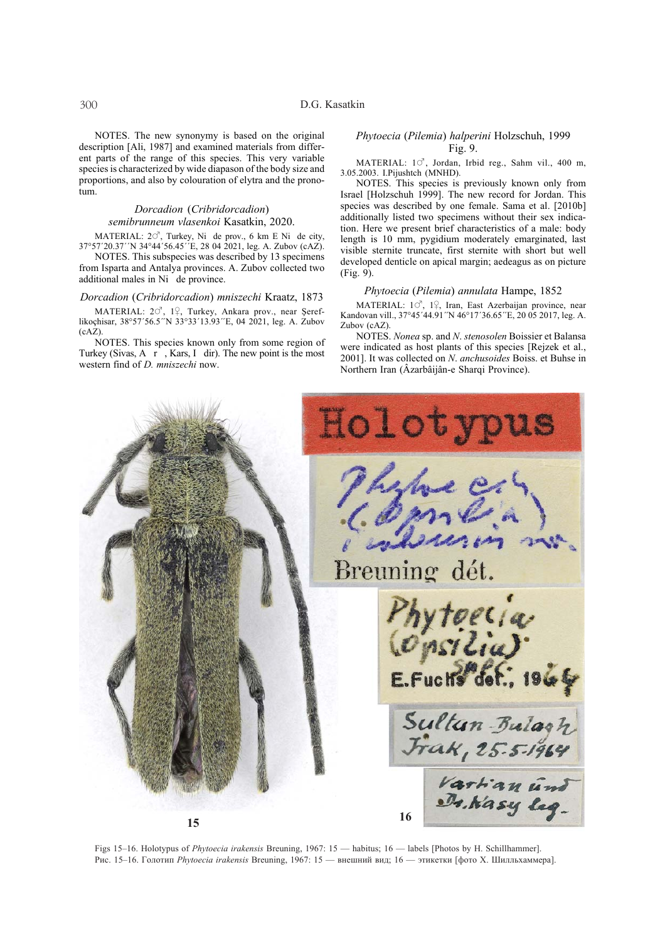NOTES. The new synonymy is based on the original description [Ali, 1987] and examined materials from different parts of the range of this species. This very variable species is characterized by wide diapason of the body size and proportions, and also by colouration of elytra and the pronotum.

#### *Dorcadion* (*Cribridorcadion*) *semibrunneum vlasenkoi* Kasatkin, 2020.

MATERIAL:  $20^7$ , Turkey, Ni de prov., 6 km E Ni de city, 37°57´20.37´´N 34°44´56.45´´E, 28 04 2021, leg. A. Zubov (cAZ).

NOTES. This subspecies was described by 13 specimens from Isparta and Antalya provinces. A. Zubov collected two additional males in Ni de province.

#### *Dorcadion* (*Cribridorcadion*) *mniszechi* Kraatz, 1873

MATERIAL: 20<sup>7</sup>, 1º, Turkey, Ankara prov., near Șereflikoçhisar, 38°57´56.5´´N 33°33´13.93´´E, 04 2021, leg. A. Zubov (cAZ).

NOTES. This species known only from some region of Turkey (Sivas, A  $r$ , Kars, I dir). The new point is the most western find of *D. mniszechi* now.

#### *Phytoecia* (*Pilemia*) *halperini* Holzschuh, 1999 Fig. 9.

MATERIAL:  $1^\circ$ , Jordan, Irbid reg., Sahm vil., 400 m, 3.05.2003. I.Pijushtch (MNHD).

NOTES. This species is previously known only from Israel [Holzschuh 1999]. The new record for Jordan. This species was described by one female. Sama et al. [2010b] additionally listed two specimens without their sex indication. Here we present brief characteristics of a male: body length is 10 mm, pygidium moderately emarginated, last visible sternite truncate, first sternite with short but well developed denticle on apical margin; aedeagus as on picture (Fig. 9).

#### *Phytoecia* (*Pilemia*) *annulata* Hampe, 1852

MATERIAL:  $10^7$ ,  $12$ , Iran, East Azerbaijan province, near Kandovan vill., 37°45´44.91″N 46°17´36.65″E, 20 05 2017, leg. A. Zubov (cAZ).

NOTES. *Nonea* sp. and *N*. *stenosolen* Boissier et Balansa were indicated as host plants of this species [Rejzek et al., 2001]. It was collected on *N*. *anchusoides* Boiss. et Buhse in Northern Iran (Âzarbâijân-e Sharqi Province).



Figs 15–16. Holotypus of *Phytoecia irakensis* Breuning, 1967: 15 — habitus; 16 — labels [Photos by H. Schillhammer]. Рис. 15–16. Голотип *Phytoecia irakensis* Breuning, 1967: 15 — внешний вид; 16 — этикетки [фото Х. Шилльхаммера].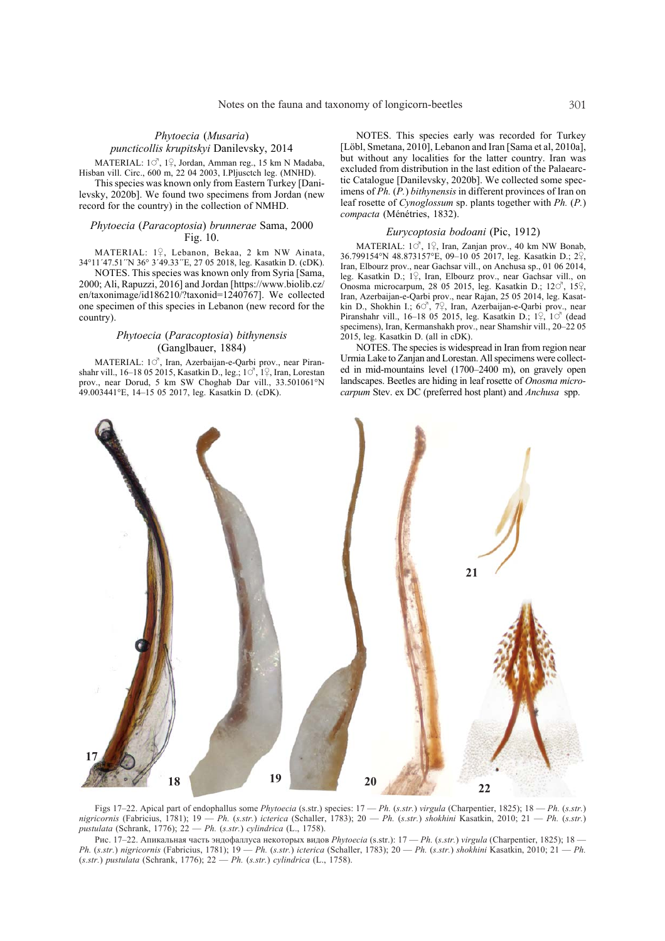## *Phytoecia* (*Musaria*) *puncticollis krupitskyi* Danilevsky, 2014

MATERIAL:  $1^\circ$ ,  $1^\circ$ , Jordan, Amman reg., 15 km N Madaba, Hisban vill. Circ., 600 m, 22 04 2003, I.Pljusctch leg. (MNHD).

This species was known only from Eastern Turkey [Danilevsky, 2020b]. We found two specimens from Jordan (new record for the country) in the collection of NMHD.

### *Phytoecia* (*Paracoptosia*) *brunnerae* Sama, 2000 Fig. 10.

MATERIAL: 1º, Lebanon, Bekaa, 2 km NW Ainata, 34°11´47.51´´N 36° 3´49.33´´E, 27 05 2018, leg. Kasatkin D. (cDK).

NOTES. This species was known only from Syria [Sama, 2000; Ali, Rapuzzi, 2016] and Jordan [https://www.biolib.cz/ en/taxonimage/id186210/?taxonid=1240767]. We collected one specimen of this species in Lebanon (new record for the country).

## *Phytoecia* (*Paracoptosia*) *bithynensis* (Ganglbauer, 1884)

MATERIAL: 10<sup>7</sup>, Iran, Azerbaijan-e-Qarbi prov., near Piranshahr vill., 16–18 05 2015, Kasatkin D., leg.;  $1^\circ$ ,  $1^\circ$ , Iran, Lorestan prov., near Dorud, 5 km SW Choghab Dar vill., 33.501061°N 49.003441°E, 14–15 05 2017, leg. Kasatkin D. (cDK).

NOTES. This species early was recorded for Turkey [Löbl, Smetana, 2010], Lebanon and Iran [Sama et al, 2010a], but without any localities for the latter country. Iran was excluded from distribution in the last edition of the Palaearctic Catalogue [Danilevsky, 2020b]. We collected some specimens of *Ph.* (*P.*) *bithynensis* in different provinces of Iran on leaf rosette of *Cynoglossum* sp. plants together with *Ph.* (*P.*) *compacta* (Ménétries, 1832).

### *Eurycoptosia bodoani* (Pic, 1912)

MATERIAL:  $1^\circled{S}$ ,  $1^\circled{P}$ , Iran, Zanjan prov., 40 km NW Bonab, 36.799154°N 48.873157°E, 09-10 05 2017, leg. Kasatkin D.; 2º, Iran, Elbourz prov., near Gachsar vill., on Anchusa sp., 01 06 2014, leg. Kasatkin D.; 19, Iran, Elbourz prov., near Gachsar vill., on Onosma microcarpum, 28 05 2015, leg. Kasatkin D.;  $12\degree$ ,  $15\degree$ , Iran, Azerbaijan-e-Qarbi prov., near Rajan, 25 05 2014, leg. Kasatkin D., Shokhin I.; 60<sup>7</sup>, 7º, Iran, Azerbaijan-e-Qarbi prov., near Piranshahr vill., 16–18 05 2015, leg. Kasatkin D.;  $1\frac{9}{7}$ ,  $1\circ$ <sup>7</sup> (dead specimens), Iran, Kermanshakh prov., near Shamshir vill., 20–22 05 2015, leg. Kasatkin D. (all in cDK).

NOTES. The species is widespread in Iran from region near Urmia Lake to Zanjan and Lorestan. All specimens were collected in mid-mountains level (1700–2400 m), on gravely open landscapes. Beetles are hiding in leaf rosette of *Onosma microcarpum* Stev. ex DC (preferred host plant) and *Anchusa* spp.



Figs 17–22. Apical part of endophallus some *Phytoecia* (s.str.) species: 17 — *Ph.* (*s.str.*) *virgula* (Charpentier, 1825); 18 — *Ph.* (*s.str.*) *nigricornis* (Fabricius, 1781); 19 — *Ph.* (*s.str.*) *icterica* (Schaller, 1783); 20 — *Ph.* (*s.str.*) *shokhini* Kasatkin, 2010; 21 — *Ph.* (*s.str.*) *pustulata* (Schrank, 1776); 22 — *Ph.* (*s.str.*) *cylindrica* (L., 1758).

Рис. 17–22. Апикальная часть эндофаллуса некоторых видов *Phytoecia* (s.str.): 17 — *Ph.* (*s.str.*) *virgula* (Charpentier, 1825); 18 — *Ph.* (*s.str.*) *nigricornis* (Fabricius, 1781); 19 — *Ph.* (*s.str.*) *icterica* (Schaller, 1783); 20 — *Ph.* (*s.str.*) *shokhini* Kasatkin, 2010; 21 — *Ph.* (*s.str.*) *pustulata* (Schrank, 1776); 22 — *Ph.* (*s.str.*) *cylindrica* (L., 1758).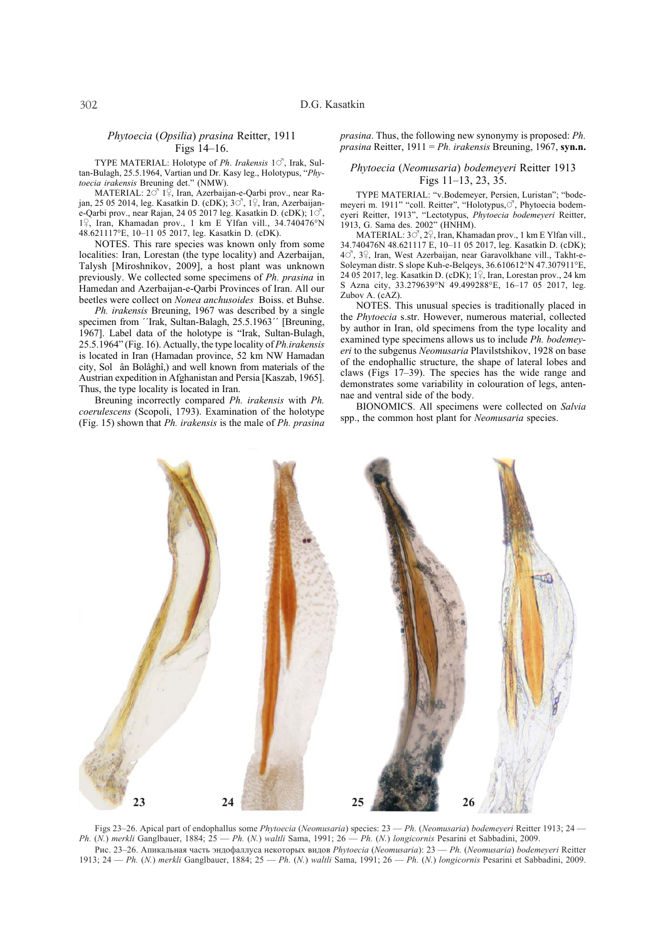### *Phytoecia* (*Opsilia*) *prasina* Reitter, 1911 Figs 14–16.

TYPE MATERIAL: Holotype of *Ph. Irakensis* 10<sup>7</sup>, Irak, Sultan-Bulagh, 25.5.1964, Vartian und Dr. Kasy leg., Holotypus, "*Phytoecia irakensis* Breuning det." (NMW).

MATERIAL:  $2^{\circ}$  1<sup> $\overline{9}$ </sup>, Iran, Azerbaijan-e-Qarbi prov., near Rajan, 25 05 2014, leg. Kasatkin D. (cDK);  $3\degree$ , 1 $\degree$ , Iran, Azerbaijane-Qarbi prov., near Rajan, 24 05 2017 leg. Kasatkin D. (cDK);  $1 \circ$ 1º, Iran, Khamadan prov., 1 km E Ylfan vill., 34.740476°N 48.621117°E, 10–11 05 2017, leg. Kasatkin D. (cDK).

NOTES. This rare species was known only from some localities: Iran, Lorestan (the type locality) and Azerbaijan, Talysh [Miroshnikov, 2009], a host plant was unknown previously. We collected some specimens of *Ph. prasina* in Hamedan and Azerbaijan-e-Qarbi Provinces of Iran. All our beetles were collect on *Nonea anchusoides* Boiss. et Buhse.

*Ph. irakensis* Breuning, 1967 was described by a single specimen from ''Irak, Sultan-Balagh, 25.5.1963'' [Breuning, 1967]. Label data of the holotype is "Irak, Sultan-Bulagh, 25.5.1964" (Fig. 16). Actually, the type locality of *Ph.irakensis* is located in Iran (Hamadan province, 52 km NW Hamadan city, Solân Bolâghî,) and well known from materials of the Austrian expedition in Afghanistan and Persia [Kaszab, 1965]. Thus, the type locality is located in Iran.

Breuning incorrectly compared *Ph. irakensis* with *Ph. coerulescens* (Scopoli, 1793). Examination of the holotype (Fig. 15) shown that *Ph. irakensis* is the male of *Ph. prasina* *prasina*. Thus, the following new synonymy is proposed: *Ph. prasina* Reitter, 1911 = *Ph. irakensis* Breuning, 1967, **syn.n.**

#### *Phytoecia* (*Neomusaria*) *bodemeyeri* Reitter 1913 Figs 11–13, 23, 35.

TYPE MATERIAL: "v.Bodemeyer, Persien, Luristan"; "bodemeyeri m. 1911" "coll. Reitter", "Holotypus, C<sup>"</sup>, Phytoecia bodemeyeri Reitter, 1913", "Lectotypus, *Phytoecia bodemeyeri* Reitter, 1913, G. Sama des. 2002" (HNHM).

MATERIAL:  $3\circ^7$ ,  $2\circ$ , Iran, Khamadan prov., 1 km E Ylfan vill., 34.740476N 48.621117 E, 10–11 05 2017, leg. Kasatkin D. (cDK); 40, 39, Iran, West Azerbaijan, near Garavolkhane vill., Takht-e-Soleyman distr. S slope Kuh-e-Belqeys, 36.610612°N 47.307911°E, 24 05 2017, leg. Kasatkin D. (cDK);  $1\frac{0}{7}$ , Iran, Lorestan prov., 24 km S Azna city, 33.279639°N 49.499288°E, 16–17 05 2017, leg. Zubov A. (cAZ).

NOTES. This unusual species is traditionally placed in the *Phytoecia* s.str. However, numerous material, collected by author in Iran, old specimens from the type locality and examined type specimens allows us to include *Ph. bodemeyeri* to the subgenus *Neomusaria* Plavilstshikov, 1928 on base of the endophallic structure, the shape of lateral lobes and claws (Figs 17–39). The species has the wide range and demonstrates some variability in colouration of legs, antennae and ventral side of the body.

BIONOMICS. All specimens were collected on *Salvia* spp., the common host plant for *Neomusaria* species.

![](_page_5_Picture_13.jpeg)

Figs 23–26. Apical part of endophallus some *Phytoecia* (*Neomusaria*) species: 23 — *Ph.* (*Neomusaria*) *bodemeyeri* Reitter 1913; 24 — *Ph.* (*N.*) *merkli* Ganglbauer, 1884; 25 — *Ph.* (*N.*) *waltli* Sama, 1991; 26 — *Ph.* (*N.*) *longicornis* Pesarini et Sabbadini, 2009. Рис. 23–26. Апикальная часть эндофаллуса некоторых видов *Phytoecia* (*Neomusaria*): 23 — *Ph.* (*Neomusaria*) *bodemeyeri* Reitter 1913; 24 — *Ph.* (*N.*) *merkli* Ganglbauer, 1884; 25 — *Ph.* (*N.*) *waltli* Sama, 1991; 26 — *Ph.* (*N.*) *longicornis* Pesarini et Sabbadini, 2009.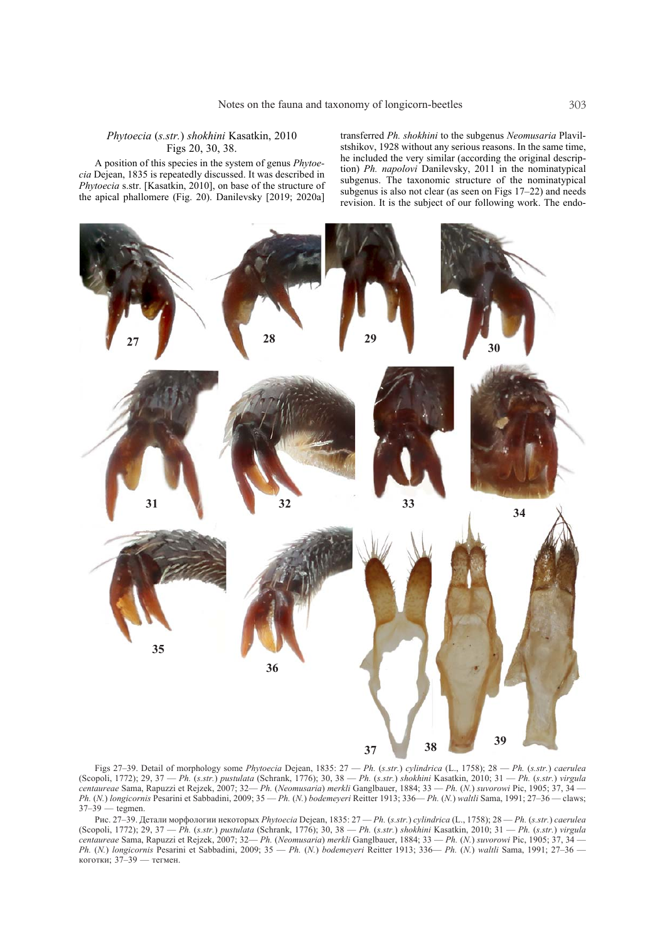### *Phytoecia* (*s.str.*) *shokhini* Kasatkin, 2010 Figs 20, 30, 38.

A position of this species in the system of genus *Phytoecia* Dejean, 1835 is repeatedly discussed. It was described in *Phytoecia* s.str. [Kasatkin, 2010], on base of the structure of the apical phallomere (Fig. 20). Danilevsky [2019; 2020a]

transferred *Ph. shokhini* to the subgenus *Neomusaria* Plavilstshikov, 1928 without any serious reasons. In the same time, he included the very similar (according the original description) *Ph. napolovi* Danilevsky, 2011 in the nominatypical subgenus. The taxonomic structure of the nominatypical subgenus is also not clear (as seen on Figs 17–22) and needs revision. It is the subject of our following work. The endo-

![](_page_6_Figure_4.jpeg)

Figs 27–39. Detail of morphology some *Phytoecia* Dejean, 1835: 27 — *Ph.* (*s.str.*) *cylindrica* (L., 1758); 28 — *Ph.* (*s.str.*) *caerulea* (Scopoli, 1772); 29, 37 — *Ph.* (*s.str.*) *pustulata* (Schrank, 1776); 30, 38 — *Ph.* (*s.str.*) *shokhini* Kasatkin, 2010; 31 — *Ph.* (*s.str.*) *virgula centaureae* Sama, Rapuzzi et Rejzek, 2007; 32— *Ph.* (*Neomusaria*) *merkli* Ganglbauer, 1884; 33 — *Ph.* (*N.*) *suvorowi* Pic, 1905; 37, 34 — *Ph.* (*N.*) *longicornis* Pesarini et Sabbadini, 2009; 35 — *Ph.* (*N.*) *bodemeyeri* Reitter 1913; 336— *Ph.* (*N.*) *waltli* Sama, 1991; 27–36 — claws; 37–39 — tegmen.

Рис. 27–39. Детали морфологии некоторых *Phytoecia* Dejean, 1835: 27 — *Ph.* (*s.str.*) *cylindrica* (L., 1758); 28 — *Ph.* (*s.str.*) *caerulea* (Scopoli, 1772); 29, 37 — *Ph.* (*s.str.*) *pustulata* (Schrank, 1776); 30, 38 — *Ph.* (*s.str.*) *shokhini* Kasatkin, 2010; 31 — *Ph.* (*s.str.*) *virgula centaureae* Sama, Rapuzzi et Rejzek, 2007; 32— *Ph.* (*Neomusaria*) *merkli* Ganglbauer, 1884; 33 — *Ph.* (*N.*) *suvorowi* Pic, 1905; 37, 34 — *Ph.* (*N.*) *longicornis* Pesarini et Sabbadini, 2009; 35 — *Ph.* (*N.*) *bodemeyeri* Reitter 1913; 336— *Ph.* (*N.*) *waltli* Sama, 1991; 27–36 коготки; 37–39 — тегмен.